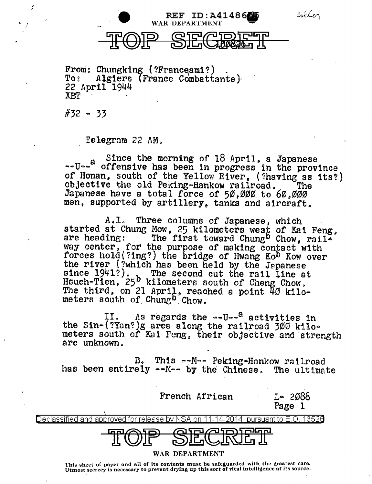

From: Chungking (?Franceami?) .<br>To: Algiers (France Combattante) 22 April 1944 XBT

#32 - 33

 $\mathbf{v}^{\mathbf{v}}$  .  $\mathbf{y}^{\mathbf{v}}$ -,·

Telegram 22 AM.

 $s$ -U--<sup>2</sup> offensive has been in progress in the province of Honan, south of the Yellow River<sub>p</sub> (?having as its?) objective the old Peking-Hankow railroad. The Japanese have a total force of 50,000 to 60,000 men, supported by artillery, tanks and aircraft.

A.I. Three columns of Japanese, which started at Chung Mow, 25 kilometers west of Kai Feng, are heading: The first toward Chung<sup>b</sup> Chow, rail-The first toward Chung<sup>b</sup> Chow, railway center, for the purpose of making contact with forces hold(?ing?) the bridge of Hwang Ko<sup>b</sup> Kow over the river (?which has been held by the Japanese since 1941?). The second cut the rail line at Hsueh-Tien, 25<sup>b</sup> kilometers south of Cheng Chow. The third, on 21 April, reached a point  $4\beta$  kilometers south of  $Chung^b$   $Chow$ .

II. As regards the --U--<sup>a</sup> activities in the Sin-(?Yan?)g area along the railroad 300 kilometers south of Kai Feng, their objective and strength are unknown ..

B. This --M-- Peking-Hankow railroad<br>has been entirely --M-- by the Chinese. The ultimate

French African 1-2088

Page l

Declassified and approved for release by NSA on 11-14-2014 pursuant to E .0. 1352a



## WAR DEPARTMENT

This sheet of paper and all of its contents must be safeguarded with the greatest care. Utmost secrecy is necessary to prevent drying up this sort of vital intelligence at its source.